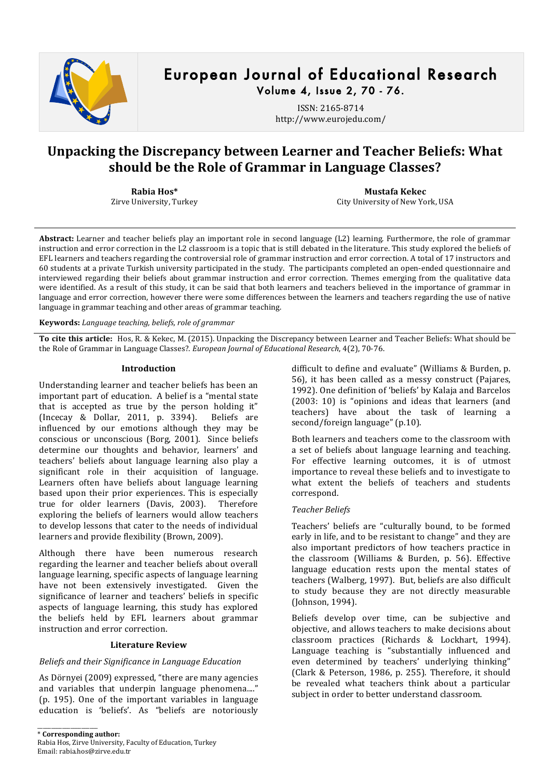

# European Journal of Educational Research Volume 4, Issue 2, 70 - 76.

ISSN: 2165-8714 http://www.eurojedu.com/

# **Unpacking the Discrepancy between Learner and Teacher Beliefs: What should)be)the)Role)of)Grammar)in)Language)Classes?**

**Rabia Hos\*** Zirve University, Turkey

**Mustafa)Kekec** City University of New York, USA

Abstract: Learner and teacher beliefs play an important role in second language (L2) learning. Furthermore, the role of grammar instruction and error correction in the L2 classroom is a topic that is still debated in the literature. This study explored the beliefs of EFL learners and teachers regarding the controversial role of grammar instruction and error correction. A total of 17 instructors and 60 students at a private Turkish university participated in the study. The participants completed an open-ended questionnaire and interviewed regarding their beliefs about grammar instruction and error correction. Themes emerging from the qualitative data were identified. As a result of this study, it can be said that both learners and teachers believed in the importance of grammar in language and error correction, however there were some differences between the learners and teachers regarding the use of native language in grammar teaching and other areas of grammar teaching.

**Keywords:** *Language teaching, beliefs, role of grammar* 

To cite this article: Hos, R. & Kekec, M. (2015). Unpacking the Discrepancy between Learner and Teacher Beliefs: What should be the Role of Grammar in Language Classes?. *European Journal of Educational Research*, 4(2), 70-76.

## **Introduction**

Understanding learner and teacher beliefs has been an important part of education. A belief is a "mental state that is accepted as true by the person holding it" (Incecay! &! Dollar,! 2011,! p.! 3394).! ! Beliefs! are! influenced by our emotions although they may be conscious or unconscious (Borg, 2001). Since beliefs determine our thoughts and behavior, learners' and teachers' beliefs about language learning also play a significant role in their acquisition of language. Learners often have beliefs about language learning based upon their prior experiences. This is especially true for older learners (Davis, 2003). Therefore exploring the beliefs of learners would allow teachers to develop lessons that cater to the needs of individual learners and provide flexibility (Brown, 2009).

Although there have been numerous research regarding the learner and teacher beliefs about overall language learning, specific aspects of language learning have not been extensively investigated. Given the significance of learner and teachers' beliefs in specific aspects of language learning, this study has explored the beliefs held by EFL learners about grammar instruction and error correction.

## **Literature Review**

## *Beliefs!and!their!Significance!in!Language!Education*

As Dörnyei (2009) expressed, "there are many agencies and variables that underpin language phenomena...." (p. 195). One of the important variables in language education is 'beliefs'. As "beliefs are notoriously

\_\_\_\_\_\_\_\_\_\_\_\_\_\_\_\_\_\_\_\_\_\_

difficult to define and evaluate" (Williams & Burden, p. 56), it has been called as a messy construct (Pajares, 1992). One definition of 'beliefs' by Kalaja and Barcelos  $(2003: 10)$  is "opinions and ideas that learners (and teachers) have about the task of learning a second/foreign language" (p.10).

Both learners and teachers come to the classroom with a set of beliefs about language learning and teaching. For effective learning outcomes, it is of utmost importance to reveal these beliefs and to investigate to what extent the beliefs of teachers and students correspond.

# *Teacher!Beliefs*

Teachers' beliefs are "culturally bound, to be formed early in life, and to be resistant to change" and they are also important predictors of how teachers practice in the classroom (Williams & Burden, p. 56). Effective language education rests upon the mental states of teachers (Walberg, 1997). But, beliefs are also difficult to study because they are not directly measurable (Johnson, 1994).

Beliefs develop over time, can be subjective and objective, and allows teachers to make decisions about classroom practices (Richards & Lockhart, 1994). Language teaching is "substantially influenced and even determined by teachers' underlying thinking" (Clark & Peterson, 1986, p. 255). Therefore, it should be revealed what teachers think about a particular subject in order to better understand classroom.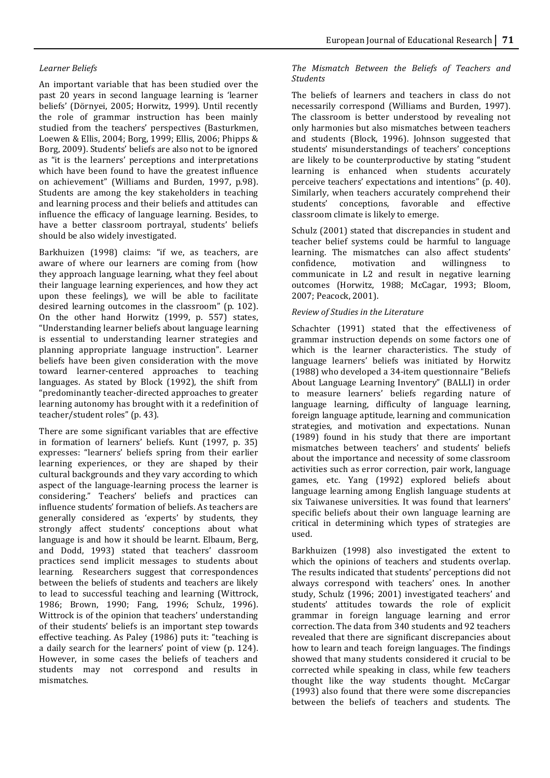# *Learner!Beliefs*

An important variable that has been studied over the past 20 years in second language learning is 'learner beliefs' (Dörnyei, 2005; Horwitz, 1999). Until recently the role of grammar instruction has been mainly studied from the teachers' perspectives (Basturkmen, Loewen & Ellis, 2004; Borg, 1999; Ellis, 2006; Phipps & Borg, 2009). Students' beliefs are also not to be ignored as "it is the learners' perceptions and interpretations which have been found to have the greatest influence on achievement" (Williams and Burden, 1997, p.98). Students are among the key stakeholders in teaching and learning process and their beliefs and attitudes can influence the efficacy of language learning. Besides, to have a better classroom portrayal, students' beliefs should be also widely investigated.

Barkhuizen (1998) claims: "if we, as teachers, are aware of where our learners are coming from (how they approach language learning, what they feel about their language learning experiences, and how they act upon these feelings), we will be able to facilitate desired learning outcomes in the classroom" (p. 102). On the other hand Horwitz (1999, p. 557) states, "Understanding learner beliefs about language learning is essential to understanding learner strategies and planning appropriate language instruction". Learner beliefs have been given consideration with the move toward learner-centered approaches to teaching languages. As stated by Block (1992), the shift from "predominantly teacher-directed approaches to greater learning autonomy has brought with it a redefinition of teacher/student roles" (p. 43).

There are some significant variables that are effective in formation of learners' beliefs. Kunt (1997, p. 35) expresses: "learners' beliefs spring from their earlier learning experiences, or they are shaped by their cultural backgrounds and they vary according to which aspect of the language-learning process the learner is considering." Teachers' beliefs and practices can influence students' formation of beliefs. As teachers are generally considered as 'experts' by students, they strongly affect students' conceptions about what language is and how it should be learnt. Elbaum, Berg, and Dodd, 1993) stated that teachers' classroom practices send implicit messages to students about learning. Researchers suggest that correspondences between the beliefs of students and teachers are likely to lead to successful teaching and learning (Wittrock, 1986; Brown, 1990; Fang, 1996; Schulz, 1996). Wittrock is of the opinion that teachers' understanding of their students' beliefs is an important step towards effective teaching. As Paley (1986) puts it: "teaching is a daily search for the learners' point of view (p. 124). However, in some cases the beliefs of teachers and students may not correspond and results in mismatches.

# *The! Mismatch! Between! the! Beliefs! of! Teachers! and! Students*

The beliefs of learners and teachers in class do not necessarily correspond (Williams and Burden, 1997). The classroom is better understood by revealing not only harmonies but also mismatches between teachers and students (Block, 1996). Johnson suggested that students' misunderstandings of teachers' conceptions are likely to be counterproductive by stating "student" learning is enhanced when students accurately perceive teachers' expectations and intentions" (p. 40). Similarly, when teachers accurately comprehend their students' conceptions, favorable and effective classroom climate is likely to emerge.

Schulz (2001) stated that discrepancies in student and teacher belief systems could be harmful to language learning. The mismatches can also affect students' confidence, motivation and willingness to communicate in L2 and result in negative learning outcomes (Horwitz, 1988; McCagar, 1993; Bloom, 2007; Peacock, 2001).

# *Review!of!Studies!in!the!Literature*

Schachter (1991) stated that the effectiveness of grammar instruction depends on some factors one of which is the learner characteristics. The study of language learners' beliefs was initiated by Horwitz (1988) who developed a 34-item questionnaire "Beliefs About Language Learning Inventory" (BALLI) in order to measure learners' beliefs regarding nature of language learning, difficulty of language learning, foreign language aptitude, learning and communication strategies, and motivation and expectations. Nunan  $(1989)$  found in his study that there are important mismatches between teachers' and students' beliefs about the importance and necessity of some classroom activities such as error correction, pair work, language games, etc. Yang (1992) explored beliefs about language learning among English language students at six Taiwanese universities. It was found that learners' specific beliefs about their own language learning are critical in determining which types of strategies are used.

Barkhuizen (1998) also investigated the extent to which the opinions of teachers and students overlap. The results indicated that students' perceptions did not always correspond with teachers' ones. In another study, Schulz (1996; 2001) investigated teachers' and students' attitudes towards the role of explicit grammar in foreign language learning and error correction. The data from 340 students and 92 teachers revealed that there are significant discrepancies about how to learn and teach foreign languages. The findings showed that many students considered it crucial to be corrected while speaking in class, while few teachers thought like the way students thought. McCargar  $(1993)$  also found that there were some discrepancies between the beliefs of teachers and students. The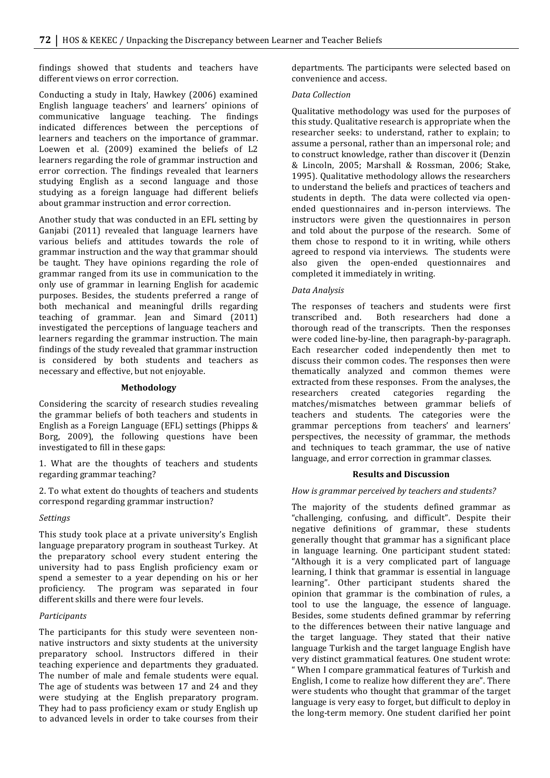findings showed that students and teachers have different views on error correction.

Conducting a study in Italy, Hawkey (2006) examined English language teachers' and learners' opinions of communicative language teaching. The findings indicated differences between the perceptions of learners and teachers on the importance of grammar. Loewen et al. (2009) examined the beliefs of L2 learners regarding the role of grammar instruction and error correction. The findings revealed that learners studying English as a second language and those studying as a foreign language had different beliefs about grammar instruction and error correction.

Another study that was conducted in an EFL setting by Ganjabi (2011) revealed that language learners have various beliefs and attitudes towards the role of grammar instruction and the way that grammar should be taught. They have opinions regarding the role of grammar ranged from its use in communication to the only use of grammar in learning English for academic purposes. Besides, the students preferred a range of both mechanical and meaningful drills regarding teaching of grammar. Jean and Simard (2011) investigated the perceptions of language teachers and learners regarding the grammar instruction. The main findings of the study revealed that grammar instruction is considered by both students and teachers as necessary and effective, but not enjoyable.

#### **Methodology**

Considering the scarcity of research studies revealing the grammar beliefs of both teachers and students in English as a Foreign Language (EFL) settings (Phipps & Borg, 2009), the following questions have been investigated to fill in these gaps:

1. What are the thoughts of teachers and students regarding grammar teaching?

2. To what extent do thoughts of teachers and students correspond regarding grammar instruction?

#### *Settings*

This study took place at a private university's English language preparatory program in southeast Turkey. At the preparatory school every student entering the university had to pass English proficiency exam or spend a semester to a year depending on his or her proficiency. The program was separated in four different skills and there were four levels.

#### *Participants*

The participants for this study were seventeen nonnative instructors and sixty students at the university preparatory school. Instructors differed in their teaching experience and departments they graduated. The number of male and female students were equal. The age of students was between 17 and 24 and they were studying at the English preparatory program. They had to pass proficiency exam or study English up to advanced levels in order to take courses from their departments. The participants were selected based on convenience and access.

#### *Data!Collection*

Qualitative methodology was used for the purposes of this study. Qualitative research is appropriate when the researcher seeks: to understand, rather to explain; to assume a personal, rather than an impersonal role; and to construct knowledge, rather than discover it (Denzin & Lincoln, 2005; Marshall & Rossman, 2006; Stake, 1995). Qualitative methodology allows the researchers to understand the beliefs and practices of teachers and students in depth. The data were collected via openended questionnaires and in-person interviews. The instructors were given the questionnaires in person and told about the purpose of the research. Some of them chose to respond to it in writing, while others agreed to respond via interviews. The students were also given the open-ended questionnaires and completed it immediately in writing.

#### *Data!Analysis*

The responses of teachers and students were first transcribed and. Both researchers had done a thorough read of the transcripts. Then the responses were coded line-by-line, then paragraph-by-paragraph. Each researcher coded independently then met to discuss their common codes. The responses then were thematically analyzed and common themes were extracted from these responses. From the analyses, the researchers created categories regarding the matches/mismatches between grammar beliefs of teachers and students. The categories were the grammar perceptions from teachers' and learners' perspectives, the necessity of grammar, the methods and techniques to teach grammar, the use of native language, and error correction in grammar classes.

#### **Results)and)Discussion**

## How is grammar perceived by teachers and students?

The majority of the students defined grammar as "challenging, confusing, and difficult". Despite their negative definitions of grammar, these students generally thought that grammar has a significant place in language learning. One participant student stated: "Although it is a very complicated part of language learning, I think that grammar is essential in language learning". Other participant students shared the opinion that grammar is the combination of rules, a tool to use the language, the essence of language. Besides, some students defined grammar by referring to the differences between their native language and the target language. They stated that their native language Turkish and the target language English have very distinct grammatical features. One student wrote: " When I compare grammatical features of Turkish and English, I come to realize how different they are". There were students who thought that grammar of the target language is very easy to forget, but difficult to deploy in the long-term memory. One student clarified her point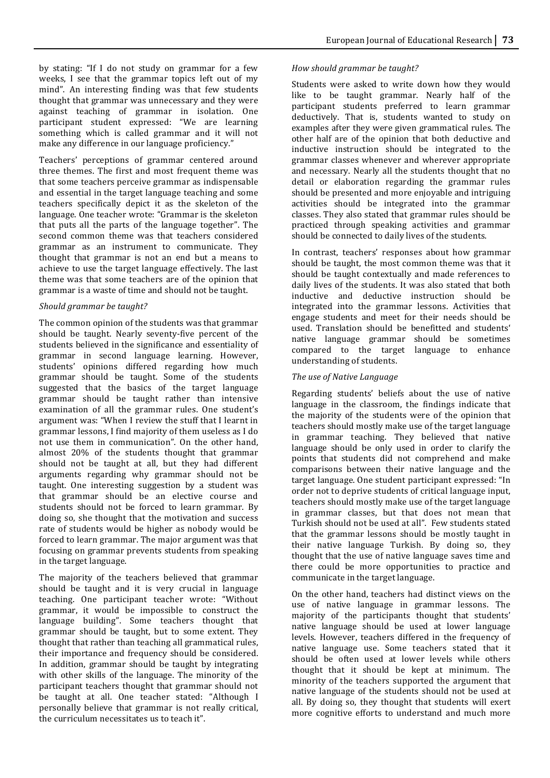by stating: "If I do not study on grammar for a few weeks, I see that the grammar topics left out of my mind". An interesting finding was that few students thought that grammar was unnecessary and they were against teaching of grammar in isolation. One participant student expressed: "We are learning something which is called grammar and it will not make any difference in our language proficiency."

Teachers' perceptions of grammar centered around three themes. The first and most frequent theme was that some teachers perceive grammar as indispensable and essential in the target language teaching and some teachers specifically depict it as the skeleton of the language. One teacher wrote: "Grammar is the skeleton that puts all the parts of the language together". The second common theme was that teachers considered grammar as an instrument to communicate. They thought that grammar is not an end but a means to achieve to use the target language effectively. The last theme was that some teachers are of the opinion that grammar is a waste of time and should not be taught.

# **Should grammar be taught?**

The common opinion of the students was that grammar should be taught. Nearly seventy-five percent of the students believed in the significance and essentiality of grammar in second language learning. However, students' opinions differed regarding how much grammar should be taught. Some of the students suggested that the basics of the target language grammar should be taught rather than intensive examination of all the grammar rules. One student's argument was: "When I review the stuff that I learnt in grammar lessons, I find majority of them useless as I do not use them in communication". On the other hand, almost 20% of the students thought that grammar should not be taught at all, but they had different arguments regarding why grammar should not be taught. One interesting suggestion by a student was that grammar should be an elective course and students should not be forced to learn grammar. By doing so, she thought that the motivation and success rate of students would be higher as nobody would be forced to learn grammar. The major argument was that focusing on grammar prevents students from speaking in the target language.

The majority of the teachers believed that grammar should be taught and it is very crucial in language teaching. One participant teacher wrote: "Without grammar, it would be impossible to construct the language building". Some teachers thought that grammar should be taught, but to some extent. They thought that rather than teaching all grammatical rules, their importance and frequency should be considered. In addition, grammar should be taught by integrating with other skills of the language. The minority of the participant teachers thought that grammar should not be taught at all. One teacher stated: "Although I personally believe that grammar is not really critical, the curriculum necessitates us to teach it".

# How should grammar be taught?

Students were asked to write down how they would like to be taught grammar. Nearly half of the participant students preferred to learn grammar deductively. That is, students wanted to study on examples after they were given grammatical rules. The other half are of the opinion that both deductive and inductive instruction should be integrated to the grammar classes whenever and wherever appropriate and necessary. Nearly all the students thought that no detail or elaboration regarding the grammar rules should be presented and more enjoyable and intriguing activities should be integrated into the grammar classes. They also stated that grammar rules should be practiced through speaking activities and grammar should be connected to daily lives of the students.

In contrast, teachers' responses about how grammar should be taught, the most common theme was that it should be taught contextually and made references to daily lives of the students. It was also stated that both inductive and deductive instruction should be integrated into the grammar lessons. Activities that engage students and meet for their needs should be used. Translation should be benefitted and students' native language grammar should be sometimes compared to the target language to enhance understanding of students.

# **The use of Native Language**

Regarding students' beliefs about the use of native language in the classroom, the findings indicate that the majority of the students were of the opinion that teachers should mostly make use of the target language in grammar teaching. They believed that native language should be only used in order to clarify the points that students did not comprehend and make comparisons between their native language and the target language. One student participant expressed: "In order not to deprive students of critical language input, teachers should mostly make use of the target language in grammar classes, but that does not mean that Turkish should not be used at all". Few students stated that the grammar lessons should be mostly taught in their native language Turkish. By doing so, they thought that the use of native language saves time and there could be more opportunities to practice and communicate in the target language.

On the other hand, teachers had distinct views on the use of native language in grammar lessons. The majority of the participants thought that students' native language should be used at lower language levels. However, teachers differed in the frequency of native language use. Some teachers stated that it should be often used at lower levels while others thought that it should be kept at minimum. The minority of the teachers supported the argument that native language of the students should not be used at all. By doing so, they thought that students will exert more cognitive efforts to understand and much more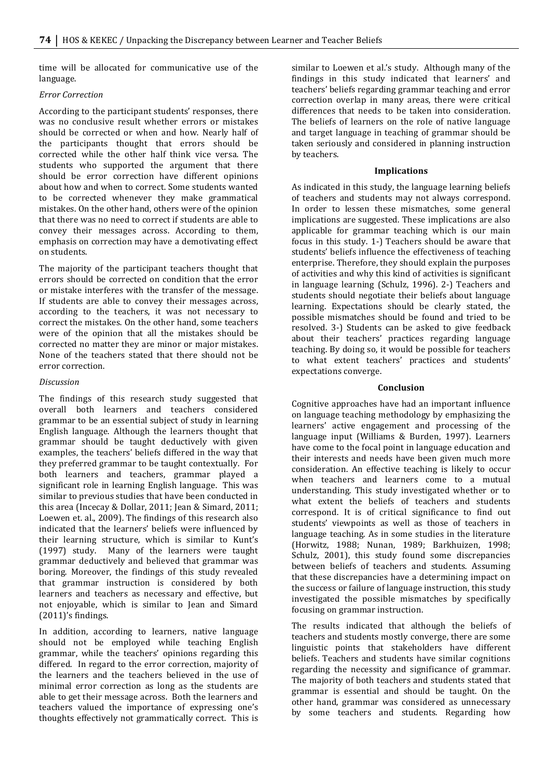time will be allocated for communicative use of the language.

## *Error!Correction*

According to the participant students' responses, there was no conclusive result whether errors or mistakes should be corrected or when and how. Nearly half of the participants thought that errors should be corrected while the other half think vice versa. The students who supported the argument that there should be error correction have different opinions about how and when to correct. Some students wanted to be corrected whenever they make grammatical mistakes. On the other hand, others were of the opinion that there was no need to correct if students are able to convey their messages across. According to them, emphasis on correction may have a demotivating effect on students.

The majority of the participant teachers thought that errors should be corrected on condition that the error or mistake interferes with the transfer of the message. If students are able to convey their messages across, according to the teachers, it was not necessary to correct the mistakes. On the other hand, some teachers were of the opinion that all the mistakes should be corrected no matter they are minor or major mistakes. None of the teachers stated that there should not be error correction.

# *Discussion*

The findings of this research study suggested that overall both learners and teachers considered grammar to be an essential subject of study in learning English language. Although the learners thought that grammar should be taught deductively with given examples, the teachers' beliefs differed in the way that they preferred grammar to be taught contextually. For both learners and teachers, grammar played a significant role in learning English language. This was similar to previous studies that have been conducted in this area (Incecay & Dollar, 2011; Jean & Simard, 2011; Loewen et. al., 2009). The findings of this research also indicated that the learners' beliefs were influenced by their learning structure, which is similar to Kunt's (1997) study. Many of the learners were taught grammar deductively and believed that grammar was boring. Moreover, the findings of this study revealed that grammar instruction is considered by both learners and teachers as necessary and effective, but not enjoyable, which is similar to Jean and Simard  $(2011)'$ s findings.

In addition, according to learners, native language should not be employed while teaching English grammar, while the teachers' opinions regarding this differed. In regard to the error correction, majority of the learners and the teachers believed in the use of minimal error correction as long as the students are able to get their message across. Both the learners and teachers valued the importance of expressing one's thoughts effectively not grammatically correct. This is

similar to Loewen et al.'s study. Although many of the findings in this study indicated that learners' and teachers' beliefs regarding grammar teaching and error correction overlap in many areas, there were critical differences that needs to be taken into consideration. The beliefs of learners on the role of native language and target language in teaching of grammar should be taken seriously and considered in planning instruction by teachers.

## **Implications**

As indicated in this study, the language learning beliefs of teachers and students may not always correspond. In order to lessen these mismatches, some general implications are suggested. These implications are also applicable for grammar teaching which is our main focus in this study. 1-) Teachers should be aware that students' beliefs influence the effectiveness of teaching enterprise. Therefore, they should explain the purposes of activities and why this kind of activities is significant in language learning (Schulz, 1996). 2-) Teachers and students should negotiate their beliefs about language learning. Expectations should be clearly stated, the possible mismatches should be found and tried to be resolved. 3-) Students can be asked to give feedback about their teachers' practices regarding language teaching. By doing so, it would be possible for teachers to what extent teachers' practices and students' expectations converge.

## **Conclusion**

Cognitive approaches have had an important influence on language teaching methodology by emphasizing the learners' active engagement and processing of the language input (Williams & Burden, 1997). Learners have come to the focal point in language education and their interests and needs have been given much more consideration. An effective teaching is likely to occur when teachers and learners come to a mutual understanding. This study investigated whether or to what extent the beliefs of teachers and students correspond. It is of critical significance to find out students' viewpoints as well as those of teachers in language teaching. As in some studies in the literature (Horwitz, 1988; Nunan, 1989; Barkhuizen, 1998; Schulz, 2001), this study found some discrepancies between beliefs of teachers and students. Assuming that these discrepancies have a determining impact on the success or failure of language instruction, this study investigated the possible mismatches by specifically focusing on grammar instruction.

The results indicated that although the beliefs of teachers and students mostly converge, there are some linguistic points that stakeholders have different beliefs. Teachers and students have similar cognitions regarding the necessity and significance of grammar. The majority of both teachers and students stated that grammar is essential and should be taught. On the other hand, grammar was considered as unnecessary by some teachers and students. Regarding how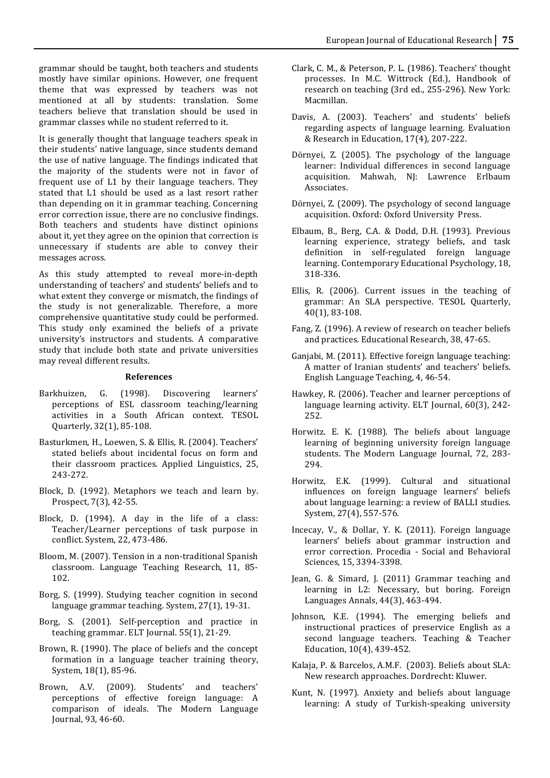grammar should be taught, both teachers and students mostly have similar opinions. However, one frequent theme that was expressed by teachers was not mentioned at all by students: translation. Some teachers believe that translation should be used in grammar classes while no student referred to it.

It is generally thought that language teachers speak in their students' native language, since students demand the use of native language. The findings indicated that the majority of the students were not in favor of frequent use of L1 by their language teachers. They stated that L1 should be used as a last resort rather than depending on it in grammar teaching. Concerning error correction issue, there are no conclusive findings. Both teachers and students have distinct opinions about it, yet they agree on the opinion that correction is unnecessary if students are able to convey their messages across.

As this study attempted to reveal more-in-depth understanding of teachers' and students' beliefs and to what extent they converge or mismatch, the findings of the study is not generalizable. Therefore, a more comprehensive quantitative study could be performed. This study only examined the beliefs of a private university's instructors and students. A comparative study that include both state and private universities may reveal different results.

#### **References**

- Barkhuizen, G. (1998). Discovering learners' perceptions of ESL classroom teaching/learning activities in a South African context. TESOL Quarterly, 32(1), 85-108.
- Basturkmen, H., Loewen, S. & Ellis, R. (2004). Teachers' stated beliefs about incidental focus on form and their classroom practices. Applied Linguistics, 25, 243-272.
- Block, D. (1992). Metaphors we teach and learn by. Prospect, 7(3), 42-55.
- Block, D. (1994). A day in the life of a class: Teacher/Learner perceptions of task purpose in conflict. System, 22, 473-486.
- Bloom, M. (2007). Tension in a non-traditional Spanish classroom. Language Teaching Research, 11, 85-102.
- Borg, S. (1999). Studying teacher cognition in second language grammar teaching. System, 27(1), 19-31.
- Borg, S. (2001). Self-perception and practice in teaching grammar. ELT Journal. 55(1), 21-29.
- Brown, R. (1990). The place of beliefs and the concept formation in a language teacher training theory, System, 18(1), 85-96.
- Brown, A.V. (2009). Students' and teachers' perceptions of effective foreign language: A comparison of ideals. The Modern Language Journal, 93, 46-60.
- Clark, C. M., & Peterson, P. L. (1986). Teachers' thought processes. In M.C. Wittrock (Ed.), Handbook of research on teaching (3rd ed., 255-296). New York: Macmillan.
- Davis, A. (2003). Teachers' and students' beliefs regarding aspects of language learning. Evaluation & Research in Education, 17(4), 207-222.
- Dörnyei, Z. (2005). The psychology of the language learner: Individual differences in second language acquisition. Mahwah, NJ: Lawrence Erlbaum Associates.
- Dörnyei, Z. (2009). The psychology of second language acquisition. Oxford: Oxford University Press.
- Elbaum, B., Berg, C.A. & Dodd, D.H. (1993). Previous learning experience, strategy beliefs, and task definition in self-regulated foreign language learning. Contemporary Educational Psychology, 18, 318-336.
- Ellis, R.  $(2006)$ . Current issues in the teaching of grammar: An SLA perspective. TESOL Quarterly, 40(1), 83-108.
- Fang, Z. (1996). A review of research on teacher beliefs and practices. Educational Research, 38, 47-65.
- Ganjabi, M. (2011). Effective foreign language teaching: A matter of Iranian students' and teachers' beliefs. English Language Teaching, 4, 46-54.
- Hawkey, R. (2006). Teacher and learner perceptions of language learning activity. ELT Journal,  $60(3)$ , 242-252.
- Horwitz. E. K. (1988). The beliefs about language learning of beginning university foreign language students. The Modern Language Journal, 72, 283-294.
- Horwitz, E.K. (1999). Cultural and situational influences on foreign language learners' beliefs about language learning: a review of BALLI studies. System, 27(4), 557-576.
- Incecay, V., & Dollar, Y. K. (2011). Foreign language learners' beliefs about grammar instruction and error correction. Procedia - Social and Behavioral Sciences, 15, 3394-3398.
- Jean, G. & Simard, J. (2011) Grammar teaching and learning in L2: Necessary, but boring. Foreign Languages Annals, 44(3), 463-494.
- Johnson, K.E. (1994). The emerging beliefs and instructional practices of preservice English as a second language teachers. Teaching & Teacher Education, 10(4), 439-452.
- Kalaja, P. & Barcelos, A.M.F. (2003). Beliefs about SLA: New research approaches. Dordrecht: Kluwer.
- Kunt, N. (1997). Anxiety and beliefs about language learning: A study of Turkish-speaking university